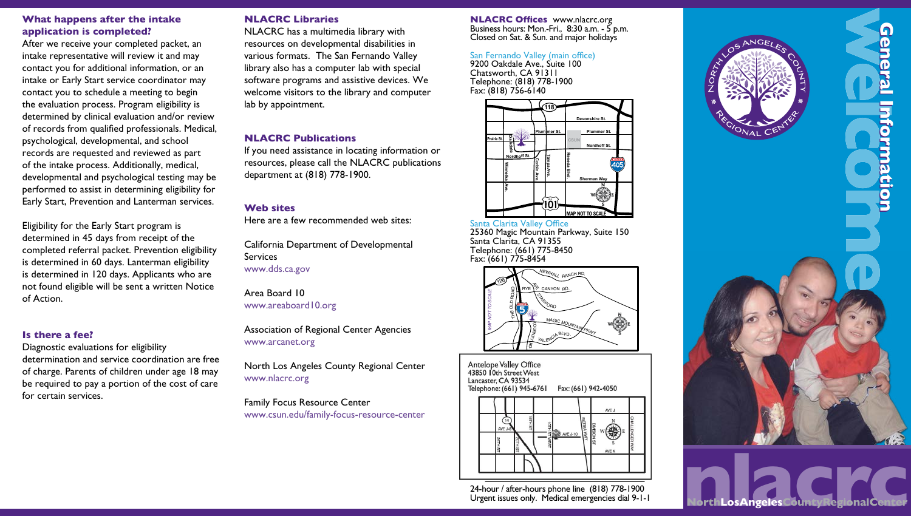### What happens after the intake application is completed?

After we receive your completed packet, an intake representative will review it and may contact you for additional information, or an intake or Early Start service coordinator may contact you to schedule a meeting to begin the evaluation process. Program eligibility is determined by clinical evaluation and/or review of records from qualified professionals. Medical, psychological, developmental, and school records are requested and reviewed as part of the intake process. Additionally, medical, developmental and psychological testing may be performed to assist in determining eligibility for Early Start, Prevention and Lanterman services.

Eligibility for the Early Start program is determined in 45 days from receipt of the completed referral packet. Prevention eligibility is determined in 60 days. Lanterman eligibility is determined in 120 days. Applicants who are not found eligible will be sent a written Notice of Action.

### Is there a fee?

Diagnostic evaluations for eligibility determination and service coordination are free of charge. Parents of children under age 18 may be required to pay a portion of the cost of care for certain services.

# NLACRC Libraries

NLACRC has a multimedia library with resources on developmental disabilities in various formats. The San Fernando Valley library also has a computer lab with special software programs and assistive devices. We welcome visitors to the library and computer lab by appointment.

### NLACRC Publications

If you need assistance in locating information or resources, please call the NLACRC publications department at (818) 778-1900.

### Web sites

Here are a few recommended web sites:

California Department of Developmental Services www.dds.ca.gov

Area Board 10 www.areaboard10.org

Association of Regional Center Agencies www.arcanet.org

North Los Angeles County Regional Center www.nlacrc.org

Family Focus Resource Center www.csun.edu/family-focus-resource-center

NLACRC Offices www.nlacrc.org Business hours: Mon.-Fri., 8:30 a.m. - 5 p.m. Closed on Sat. & Sun. and major holidays

#### San Fernando Valley (main office)

9200 Oakdale Ave., Suite 100 Chatsworth, CA 91311 Telephone: (818) 778-1900 Fax: (818) 756-6140



Santa Clarita Valley Office 25360 Magic Mountain Parkway, Suite 150 Santa Clarita, CA 91355 Telephone: (661) 775-8450 Fax: (661) 775-8454



antelope Valley Valley Valley Valley Valley Valley Valley Valley Valley Valley Valley Valley Valley Valley Val<br>Anti-Antelope Valley Office 43850 **J**Oth Street West<br>Lancaster, CA 93534 ancaster, CA 93534<br>Edenhare: (661) 945-6761 - Escol Fax: (661) 942-4050



24-hour / after-hours phone line (818) 778-1900<br>Urgent issues only. Medical emergencies dial 9-1-1